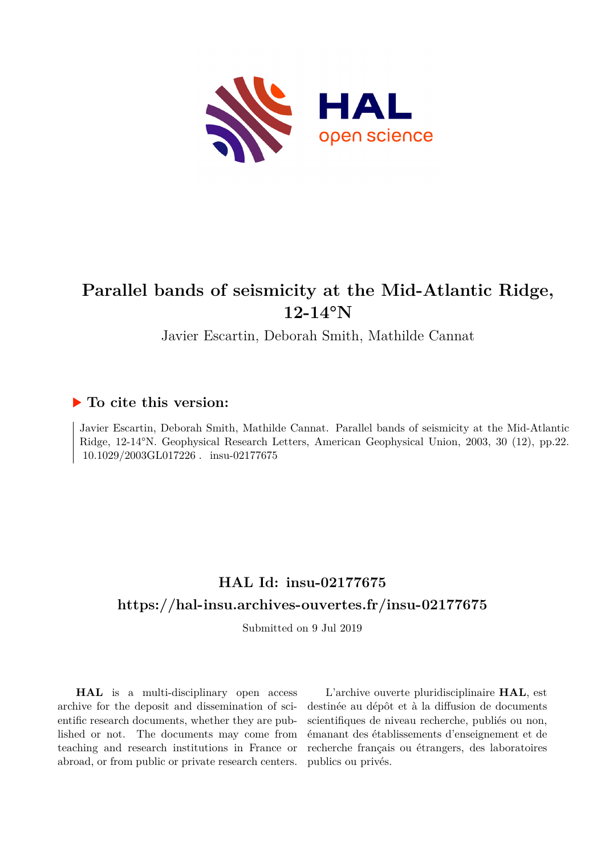

# **Parallel bands of seismicity at the Mid-Atlantic Ridge, 12-14°N**

# Javier Escartin, Deborah Smith, Mathilde Cannat

# **To cite this version:**

Javier Escartin, Deborah Smith, Mathilde Cannat. Parallel bands of seismicity at the Mid-Atlantic Ridge, 12-14°N. Geophysical Research Letters, American Geophysical Union, 2003, 30 (12), pp.22. 10.1029/2003GL017226. insu-02177675

# **HAL Id: insu-02177675 <https://hal-insu.archives-ouvertes.fr/insu-02177675>**

Submitted on 9 Jul 2019

**HAL** is a multi-disciplinary open access archive for the deposit and dissemination of scientific research documents, whether they are published or not. The documents may come from teaching and research institutions in France or abroad, or from public or private research centers.

L'archive ouverte pluridisciplinaire **HAL**, est destinée au dépôt et à la diffusion de documents scientifiques de niveau recherche, publiés ou non, émanant des établissements d'enseignement et de recherche français ou étrangers, des laboratoires publics ou privés.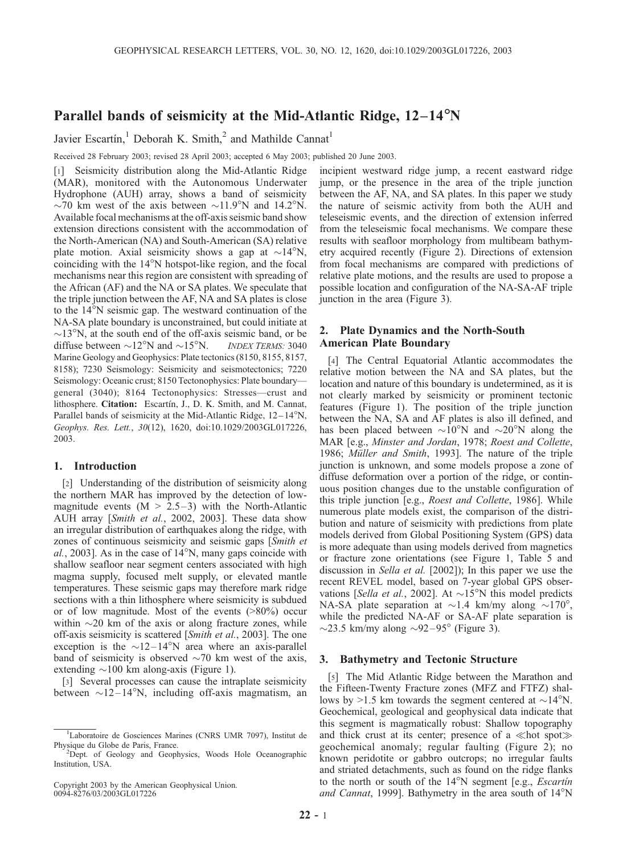## Parallel bands of seismicity at the Mid-Atlantic Ridge,  $12-14^{\circ}N$

Javier Escartín,<sup>1</sup> Deborah K. Smith,<sup>2</sup> and Mathilde Cannat<sup>1</sup>

Received 28 February 2003; revised 28 April 2003; accepted 6 May 2003; published 20 June 2003.

[1] Seismicity distribution along the Mid-Atlantic Ridge (MAR), monitored with the Autonomous Underwater Hydrophone (AUH) array, shows a band of seismicity  $\sim$ 70 km west of the axis between  $\sim$ 11.9°N and 14.2°N. Available focal mechanisms at the off-axis seismic band show extension directions consistent with the accommodation of the North-American (NA) and South-American (SA) relative plate motion. Axial seismicity shows a gap at  $\sim$ 14°N, coinciding with the  $14^{\circ}$ N hotspot-like region, and the focal mechanisms near this region are consistent with spreading of the African (AF) and the NA or SA plates. We speculate that the triple junction between the AF, NA and SA plates is close to the 14°N seismic gap. The westward continuation of the NA-SA plate boundary is unconstrained, but could initiate at  $\sim$ 13<sup>o</sup>N, at the south end of the off-axis seismic band, or be diffuse between  $\sim$ 12°N and  $\sim$ 15°N. *INDEX TERMS:* 3040 Marine Geology and Geophysics: Plate tectonics (8150, 8155, 8157, 8158); 7230 Seismology: Seismicity and seismotectonics; 7220 Seismology: Oceanic crust; 8150 Tectonophysics: Plate boundary general (3040); 8164 Tectonophysics: Stresses—crust and lithosphere. Citation: Escartín, J., D. K. Smith, and M. Cannat, Parallel bands of seismicity at the Mid-Atlantic Ridge,  $12-14^{\circ}N$ , Geophys. Res. Lett., 30(12), 1620, doi:10.1029/2003GL017226, 2003.

### 1. Introduction

[2] Understanding of the distribution of seismicity along the northern MAR has improved by the detection of lowmagnitude events  $(M > 2.5-3)$  with the North-Atlantic AUH array [Smith et al., 2002, 2003]. These data show an irregular distribution of earthquakes along the ridge, with zones of continuous seismicity and seismic gaps [Smith et  $al., 2003$ ]. As in the case of  $14^{\circ}N$ , many gaps coincide with shallow seafloor near segment centers associated with high magma supply, focused melt supply, or elevated mantle temperatures. These seismic gaps may therefore mark ridge sections with a thin lithosphere where seismicity is subdued or of low magnitude. Most of the events (>80%) occur within  $\sim$ 20 km of the axis or along fracture zones, while off-axis seismicity is scattered [*Smith et al.*, 2003]. The one exception is the  $\sim$ 12–14°N area where an axis-parallel band of seismicity is observed  $\sim$ 70 km west of the axis, extending  $\sim$ 100 km along-axis (Figure 1).

[3] Several processes can cause the intraplate seismicity between  $\sim$ 12–14°N, including off-axis magmatism, an

Copyright 2003 by the American Geophysical Union. 0094-8276/03/2003GL017226

incipient westward ridge jump, a recent eastward ridge jump, or the presence in the area of the triple junction between the AF, NA, and SA plates. In this paper we study the nature of seismic activity from both the AUH and teleseismic events, and the direction of extension inferred from the teleseismic focal mechanisms. We compare these results with seafloor morphology from multibeam bathymetry acquired recently (Figure 2). Directions of extension from focal mechanisms are compared with predictions of relative plate motions, and the results are used to propose a possible location and configuration of the NA-SA-AF triple junction in the area (Figure 3).

## 2. Plate Dynamics and the North-South American Plate Boundary

[4] The Central Equatorial Atlantic accommodates the relative motion between the NA and SA plates, but the location and nature of this boundary is undetermined, as it is not clearly marked by seismicity or prominent tectonic features (Figure 1). The position of the triple junction between the NA, SA and AF plates is also ill defined, and has been placed between  $\sim 10^{\circ}$ N and  $\sim 20^{\circ}$ N along the MAR [e.g., Minster and Jordan, 1978; Roest and Collette, 1986; Müller and Smith, 1993]. The nature of the triple junction is unknown, and some models propose a zone of diffuse deformation over a portion of the ridge, or continuous position changes due to the unstable configuration of this triple junction [e.g., *Roest and Collette*, 1986]. While numerous plate models exist, the comparison of the distribution and nature of seismicity with predictions from plate models derived from Global Positioning System (GPS) data is more adequate than using models derived from magnetics or fracture zone orientations (see Figure 1, Table 5 and discussion in Sella et al. [2002]); In this paper we use the recent REVEL model, based on 7-year global GPS observations [Sella et al., 2002]. At  $\sim$ 15°N this model predicts NA-SA plate separation at  $\sim$ 1.4 km/my along  $\sim$ 170°, while the predicted NA-AF or SA-AF plate separation is  $\sim$ 23.5 km/my along  $\sim$ 92–95 $^{\circ}$  (Figure 3).

#### 3. Bathymetry and Tectonic Structure

[5] The Mid Atlantic Ridge between the Marathon and the Fifteen-Twenty Fracture zones (MFZ and FTFZ) shallows by  $>1.5$  km towards the segment centered at  $\sim$ 14<sup>o</sup>N. Geochemical, geological and geophysical data indicate that this segment is magmatically robust: Shallow topography and thick crust at its center; presence of a  $\ll$ hot spot $\gg$ geochemical anomaly; regular faulting (Figure 2); no known peridotite or gabbro outcrops; no irregular faults and striated detachments, such as found on the ridge flanks to the north or south of the  $14^{\circ}$ N segment [e.g., *Escartin* and Cannat, 1999]. Bathymetry in the area south of  $14^{\circ}N$ 

<sup>&</sup>lt;sup>1</sup>Laboratoire de Gosciences Marines (CNRS UMR 7097), Institut de Physique du Globe de Paris, France.

<sup>&</sup>lt;sup>2</sup>Dept. of Geology and Geophysics, Woods Hole Oceanographic Institution, USA.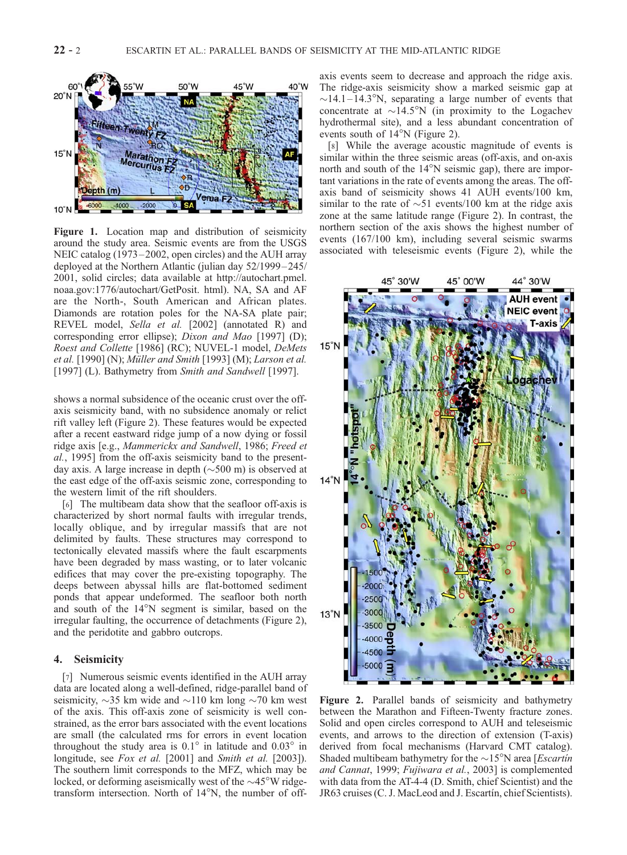

Figure 1. Location map and distribution of seismicity around the study area. Seismic events are from the USGS NEIC catalog (1973–2002, open circles) and the AUH array deployed at the Northern Atlantic (julian day 52/1999 – 245/ 2001, solid circles; data available at http://autochart.pmel. noaa.gov:1776/autochart/GetPosit. html). NA, SA and AF are the North-, South American and African plates. Diamonds are rotation poles for the NA-SA plate pair; REVEL model, Sella et al. [2002] (annotated R) and corresponding error ellipse); Dixon and Mao [1997] (D); Roest and Collette [1986] (RC); NUVEL-1 model, DeMets et al. [1990] (N); Müller and Smith [1993] (M); Larson et al. [1997] (L). Bathymetry from Smith and Sandwell [1997].

shows a normal subsidence of the oceanic crust over the offaxis seismicity band, with no subsidence anomaly or relict rift valley left (Figure 2). These features would be expected after a recent eastward ridge jump of a now dying or fossil ridge axis [e.g., Mammerickx and Sandwell, 1986; Freed et al., 1995] from the off-axis seismicity band to the presentday axis. A large increase in depth  $(\sim 500 \text{ m})$  is observed at the east edge of the off-axis seismic zone, corresponding to the western limit of the rift shoulders.

[6] The multibeam data show that the seafloor off-axis is characterized by short normal faults with irregular trends, locally oblique, and by irregular massifs that are not delimited by faults. These structures may correspond to tectonically elevated massifs where the fault escarpments have been degraded by mass wasting, or to later volcanic edifices that may cover the pre-existing topography. The deeps between abyssal hills are flat-bottomed sediment ponds that appear undeformed. The seafloor both north and south of the  $14^{\circ}$ N segment is similar, based on the irregular faulting, the occurrence of detachments (Figure 2), and the peridotite and gabbro outcrops.

### 4. Seismicity

[7] Numerous seismic events identified in the AUH array data are located along a well-defined, ridge-parallel band of seismicity,  $\sim$ 35 km wide and  $\sim$ 110 km long  $\sim$ 70 km west of the axis. This off-axis zone of seismicity is well constrained, as the error bars associated with the event locations are small (the calculated rms for errors in event location throughout the study area is  $0.1^\circ$  in latitude and  $0.03^\circ$  in longitude, see Fox et al. [2001] and Smith et al. [2003]). The southern limit corresponds to the MFZ, which may be locked, or deforming aseismically west of the  $\sim45^{\circ}$ W ridgetransform intersection. North of  $14^{\circ}$ N, the number of offaxis events seem to decrease and approach the ridge axis. The ridge-axis seismicity show a marked seismic gap at  $\sim$ 14.1–14.3°N, separating a large number of events that concentrate at  $\sim$ 14.5°N (in proximity to the Logachev hydrothermal site), and a less abundant concentration of events south of  $14^{\circ}$ N (Figure 2).

[8] While the average acoustic magnitude of events is similar within the three seismic areas (off-axis, and on-axis north and south of the  $14^{\circ}$ N seismic gap), there are important variations in the rate of events among the areas. The offaxis band of seismicity shows 41 AUH events/100 km, similar to the rate of  $\sim$ 51 events/100 km at the ridge axis zone at the same latitude range (Figure 2). In contrast, the northern section of the axis shows the highest number of events (167/100 km), including several seismic swarms associated with teleseismic events (Figure 2), while the



Figure 2. Parallel bands of seismicity and bathymetry between the Marathon and Fifteen-Twenty fracture zones. Solid and open circles correspond to AUH and teleseismic events, and arrows to the direction of extension (T-axis) derived from focal mechanisms (Harvard CMT catalog). Shaded multibeam bathymetry for the  $\sim$ 15°N area [*Escartin* and Cannat, 1999; Fujiwara et al., 2003] is complemented with data from the AT-4-4 (D. Smith, chief Scientist) and the JR63 cruises (C. J. MacLeod and J. Escartín, chief Scientists).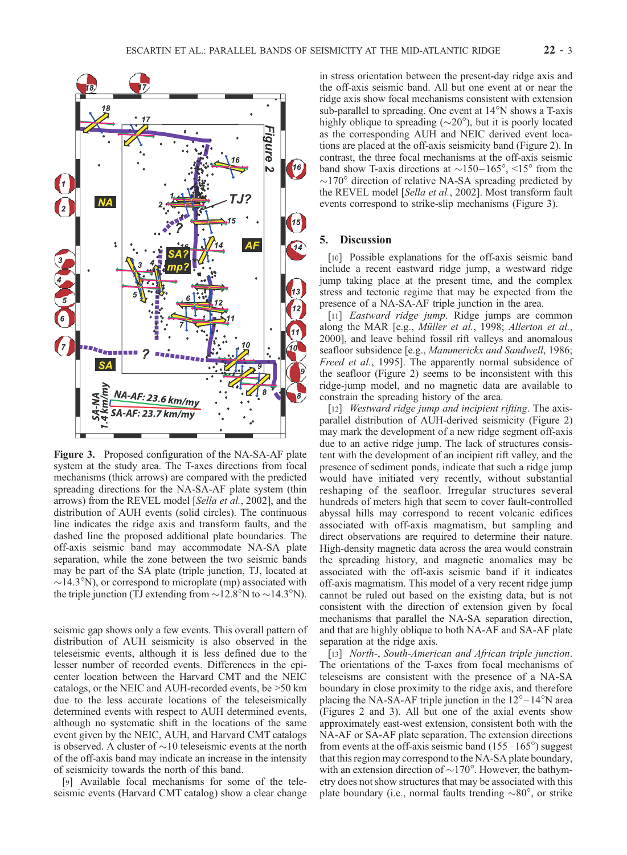

Figure 3. Proposed configuration of the NA-SA-AF plate system at the study area. The T-axes directions from focal mechanisms (thick arrows) are compared with the predicted spreading directions for the NA-SA-AF plate system (thin arrows) from the REVEL model [Sella et al., 2002], and the distribution of AUH events (solid circles). The continuous line indicates the ridge axis and transform faults, and the dashed line the proposed additional plate boundaries. The off-axis seismic band may accommodate NA-SA plate separation, while the zone between the two seismic bands may be part of the SA plate (triple junction, TJ, located at  $\sim$ 14.3°N), or correspond to microplate (mp) associated with the triple junction (TJ extending from  $\sim$  12.8°N to  $\sim$  14.3°N).

seismic gap shows only a few events. This overall pattern of distribution of AUH seismicity is also observed in the teleseismic events, although it is less defined due to the lesser number of recorded events. Differences in the epicenter location between the Harvard CMT and the NEIC catalogs, or the NEIC and AUH-recorded events, be >50 km due to the less accurate locations of the teleseismically determined events with respect to AUH determined events, although no systematic shift in the locations of the same event given by the NEIC, AUH, and Harvard CMT catalogs is observed. A cluster of  $\sim$ 10 teleseismic events at the north of the off-axis band may indicate an increase in the intensity of seismicity towards the north of this band.

[9] Available focal mechanisms for some of the teleseismic events (Harvard CMT catalog) show a clear change in stress orientation between the present-day ridge axis and the off-axis seismic band. All but one event at or near the ridge axis show focal mechanisms consistent with extension sub-parallel to spreading. One event at  $14^{\circ}$ N shows a T-axis highly oblique to spreading  $(\sim 20^{\circ})$ , but it is poorly located as the corresponding AUH and NEIC derived event locations are placed at the off-axis seismicity band (Figure 2). In contrast, the three focal mechanisms at the off-axis seismic band show T-axis directions at  $\sim$ 150–165°, <15° from the  $\sim$ 170 $^{\circ}$  direction of relative NA-SA spreading predicted by the REVEL model [Sella et al., 2002]. Most transform fault events correspond to strike-slip mechanisms (Figure 3).

## 5. Discussion

[10] Possible explanations for the off-axis seismic band include a recent eastward ridge jump, a westward ridge jump taking place at the present time, and the complex stress and tectonic regime that may be expected from the presence of a NA-SA-AF triple junction in the area.

[11] *Eastward ridge jump*. Ridge jumps are common along the MAR [e.g., *Müller et al.*, 1998; *Allerton et al.*, 2000], and leave behind fossil rift valleys and anomalous seafloor subsidence [e.g., Mammerickx and Sandwell, 1986; Freed et al., 1995]. The apparently normal subsidence of the seafloor (Figure 2) seems to be inconsistent with this ridge-jump model, and no magnetic data are available to constrain the spreading history of the area.

[12] Westward ridge jump and incipient rifting. The axisparallel distribution of AUH-derived seismicity (Figure 2) may mark the development of a new ridge segment off-axis due to an active ridge jump. The lack of structures consistent with the development of an incipient rift valley, and the presence of sediment ponds, indicate that such a ridge jump would have initiated very recently, without substantial reshaping of the seafloor. Irregular structures several hundreds of meters high that seem to cover fault-controlled abyssal hills may correspond to recent volcanic edifices associated with off-axis magmatism, but sampling and direct observations are required to determine their nature. High-density magnetic data across the area would constrain the spreading history, and magnetic anomalies may be associated with the off-axis seismic band if it indicates off-axis magmatism. This model of a very recent ridge jump cannot be ruled out based on the existing data, but is not consistent with the direction of extension given by focal mechanisms that parallel the NA-SA separation direction, and that are highly oblique to both NA-AF and SA-AF plate separation at the ridge axis.

[13] North-, South-American and African triple junction. The orientations of the T-axes from focal mechanisms of teleseisms are consistent with the presence of a NA-SA boundary in close proximity to the ridge axis, and therefore placing the NA-SA-AF triple junction in the  $12^{\circ} - 14^{\circ}$ N area (Figures 2 and 3). All but one of the axial events show approximately east-west extension, consistent both with the NA-AF or SA-AF plate separation. The extension directions from events at the off-axis seismic band  $(155-165^{\circ})$  suggest that this region may correspond to the NA-SA plate boundary, with an extension direction of  $\sim$ 170°. However, the bathymetry does not show structures that may be associated with this plate boundary (i.e., normal faults trending  $\sim 80^{\circ}$ , or strike